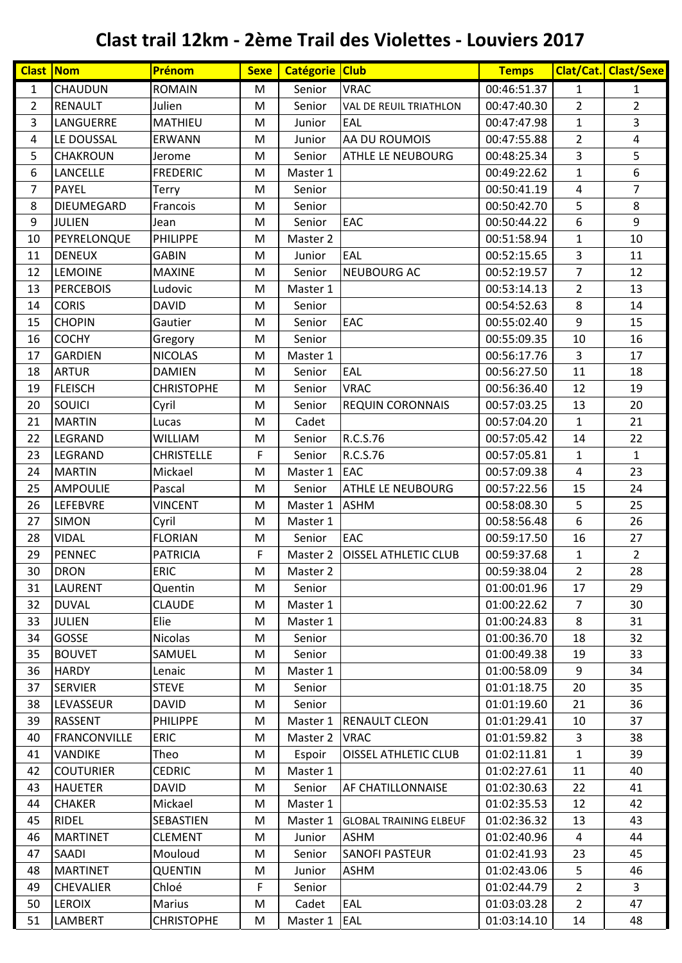| <b>Clast Nom</b> |                     | Prénom            | <b>Sexe</b> | Catégorie Club |                               | <b>Temps</b> |                  | Clat/Cat. Clast/Sexe |
|------------------|---------------------|-------------------|-------------|----------------|-------------------------------|--------------|------------------|----------------------|
| $\mathbf{1}$     | CHAUDUN             | <b>ROMAIN</b>     | M           | Senior         | <b>VRAC</b>                   | 00:46:51.37  | $\mathbf{1}$     | $\mathbf{1}$         |
| $\overline{2}$   | <b>RENAULT</b>      | Julien            | M           | Senior         | VAL DE REUIL TRIATHLON        | 00:47:40.30  | $\overline{2}$   | $\overline{2}$       |
| $\mathsf 3$      | LANGUERRE           | <b>MATHIEU</b>    | M           | Junior         | EAL                           | 00:47:47.98  | $\mathbf{1}$     | $\overline{3}$       |
| 4                | LE DOUSSAL          | <b>ERWANN</b>     | M           | Junior         | AA DU ROUMOIS                 | 00:47:55.88  | $\overline{2}$   | 4                    |
| 5                | CHAKROUN            | Jerome            | M           | Senior         | ATHLE LE NEUBOURG             | 00:48:25.34  | 3                | 5                    |
| 6                | LANCELLE            | <b>FREDERIC</b>   | M           | Master 1       |                               | 00:49:22.62  | $\mathbf{1}$     | 6                    |
| $\overline{7}$   | <b>PAYEL</b>        | Terry             | M           | Senior         |                               | 00:50:41.19  | 4                | $\overline{7}$       |
| 8                | DIEUMEGARD          | Francois          | M           | Senior         |                               | 00:50:42.70  | 5                | 8                    |
| 9                | <b>JULIEN</b>       | Jean              | M           | Senior         | EAC                           | 00:50:44.22  | 6                | 9                    |
| 10               | PEYRELONQUE         | <b>PHILIPPE</b>   | M           | Master 2       |                               | 00:51:58.94  | $\mathbf{1}$     | 10                   |
| 11               | <b>DENEUX</b>       | <b>GABIN</b>      | M           | Junior         | EAL                           | 00:52:15.65  | 3                | 11                   |
| 12               | <b>LEMOINE</b>      | <b>MAXINE</b>     | M           | Senior         | NEUBOURG AC                   | 00:52:19.57  | $\overline{7}$   | 12                   |
| 13               | <b>PERCEBOIS</b>    | Ludovic           | M           | Master 1       |                               | 00:53:14.13  | $\overline{2}$   | 13                   |
| 14               | <b>CORIS</b>        | <b>DAVID</b>      | M           | Senior         |                               | 00:54:52.63  | 8                | 14                   |
| 15               | <b>CHOPIN</b>       | Gautier           | M           | Senior         | EAC                           | 00:55:02.40  | 9                | 15                   |
| 16               | <b>COCHY</b>        | Gregory           | M           | Senior         |                               | 00:55:09.35  | 10               | 16                   |
| 17               | <b>GARDIEN</b>      | <b>NICOLAS</b>    | M           | Master 1       |                               | 00:56:17.76  | 3                | 17                   |
| 18               | <b>ARTUR</b>        | <b>DAMIEN</b>     | M           | Senior         | EAL                           | 00:56:27.50  | 11               | 18                   |
| 19               | <b>FLEISCH</b>      | <b>CHRISTOPHE</b> | M           | Senior         | <b>VRAC</b>                   | 00:56:36.40  | 12               | 19                   |
| 20               | SOUICI              | Cyril             | M           | Senior         | <b>REQUIN CORONNAIS</b>       | 00:57:03.25  | 13               | 20                   |
| 21               | <b>MARTIN</b>       | Lucas             | M           | Cadet          |                               | 00:57:04.20  | $\mathbf{1}$     | 21                   |
| 22               | LEGRAND             | WILLIAM           | M           | Senior         | R.C.S.76                      | 00:57:05.42  | 14               | 22                   |
| 23               | LEGRAND             | <b>CHRISTELLE</b> | F           | Senior         | R.C.S.76                      | 00:57:05.81  | $\mathbf{1}$     | $\mathbf{1}$         |
| 24               | <b>MARTIN</b>       | Mickael           | M           | Master 1       | <b>EAC</b>                    | 00:57:09.38  | $\overline{4}$   | 23                   |
| 25               | <b>AMPOULIE</b>     | Pascal            | M           | Senior         | ATHLE LE NEUBOURG             | 00:57:22.56  | 15               | 24                   |
| 26               | <b>LEFEBVRE</b>     | <b>VINCENT</b>    | M           | Master 1       | <b>ASHM</b>                   | 00:58:08.30  | 5                | 25                   |
| 27               | <b>SIMON</b>        | Cyril             | M           | Master 1       |                               | 00:58:56.48  | $\boldsymbol{6}$ | 26                   |
| 28               | <b>VIDAL</b>        | <b>FLORIAN</b>    | M           | Senior         | EAC                           | 00:59:17.50  | 16               | 27                   |
| 29               | <b>PENNEC</b>       | <b>PATRICIA</b>   | F           | Master 2       | <b>OISSEL ATHLETIC CLUB</b>   | 00:59:37.68  | $\mathbf{1}$     | $\overline{2}$       |
| 30               | <b>DRON</b>         | <b>ERIC</b>       | M           | Master 2       |                               | 00:59:38.04  | $\overline{2}$   | 28                   |
| 31               | LAURENT             | Quentin           | M           | Senior         |                               | 01:00:01.96  | 17               | 29                   |
| 32               | <b>DUVAL</b>        | <b>CLAUDE</b>     | М           | Master 1       |                               | 01:00:22.62  | $\overline{7}$   | 30                   |
| 33               | <b>JULIEN</b>       | Elie              | M           | Master 1       |                               | 01:00:24.83  | 8                | 31                   |
| 34               | <b>GOSSE</b>        | Nicolas           | M           | Senior         |                               | 01:00:36.70  | 18               | 32                   |
| 35               | <b>BOUVET</b>       | SAMUEL            | M           | Senior         |                               | 01:00:49.38  | 19               | 33                   |
| 36               | <b>HARDY</b>        | Lenaic            | M           | Master 1       |                               | 01:00:58.09  | 9                | 34                   |
| 37               | <b>SERVIER</b>      | <b>STEVE</b>      | M           | Senior         |                               | 01:01:18.75  | 20               | 35                   |
| 38               | LEVASSEUR           | <b>DAVID</b>      | M           | Senior         |                               | 01:01:19.60  | 21               | 36                   |
| 39               | <b>RASSENT</b>      | <b>PHILIPPE</b>   | M           | Master 1       | <b>RENAULT CLEON</b>          | 01:01:29.41  | 10               | 37                   |
| 40               | <b>FRANCONVILLE</b> | <b>ERIC</b>       | M           | Master 2       | <b>VRAC</b>                   | 01:01:59.82  | 3                | 38                   |
| 41               | <b>VANDIKE</b>      | Theo              | M           | Espoir         | <b>OISSEL ATHLETIC CLUB</b>   | 01:02:11.81  | $\mathbf{1}$     | 39                   |
| 42               | <b>COUTURIER</b>    | <b>CEDRIC</b>     | M           | Master 1       |                               | 01:02:27.61  | 11               | 40                   |
| 43               | <b>HAUETER</b>      | <b>DAVID</b>      | M           | Senior         | AF CHATILLONNAISE             | 01:02:30.63  | 22               | 41                   |
| 44               | <b>CHAKER</b>       | Mickael           | M           | Master 1       |                               | 01:02:35.53  | 12               | 42                   |
| 45               | <b>RIDEL</b>        | <b>SEBASTIEN</b>  | M           | Master 1       | <b>GLOBAL TRAINING ELBEUF</b> | 01:02:36.32  | 13               | 43                   |
| 46               | <b>MARTINET</b>     | <b>CLEMENT</b>    | M           | Junior         | <b>ASHM</b>                   | 01:02:40.96  | 4                | 44                   |
| 47               | SAADI               | Mouloud           | M           | Senior         | <b>SANOFI PASTEUR</b>         | 01:02:41.93  | 23               | 45                   |
| 48               | <b>MARTINET</b>     | <b>QUENTIN</b>    | M           | Junior         | <b>ASHM</b>                   | 01:02:43.06  | 5                | 46                   |
| 49               | <b>CHEVALIER</b>    | Chloé             | F           | Senior         |                               | 01:02:44.79  | $\overline{2}$   | $\overline{3}$       |
| 50               | <b>LEROIX</b>       | Marius            | M           | Cadet          | EAL                           | 01:03:03.28  | $\overline{2}$   | 47                   |
| 51               | LAMBERT             | <b>CHRISTOPHE</b> | M           | Master 1       | EAL                           | 01:03:14.10  | 14               | 48                   |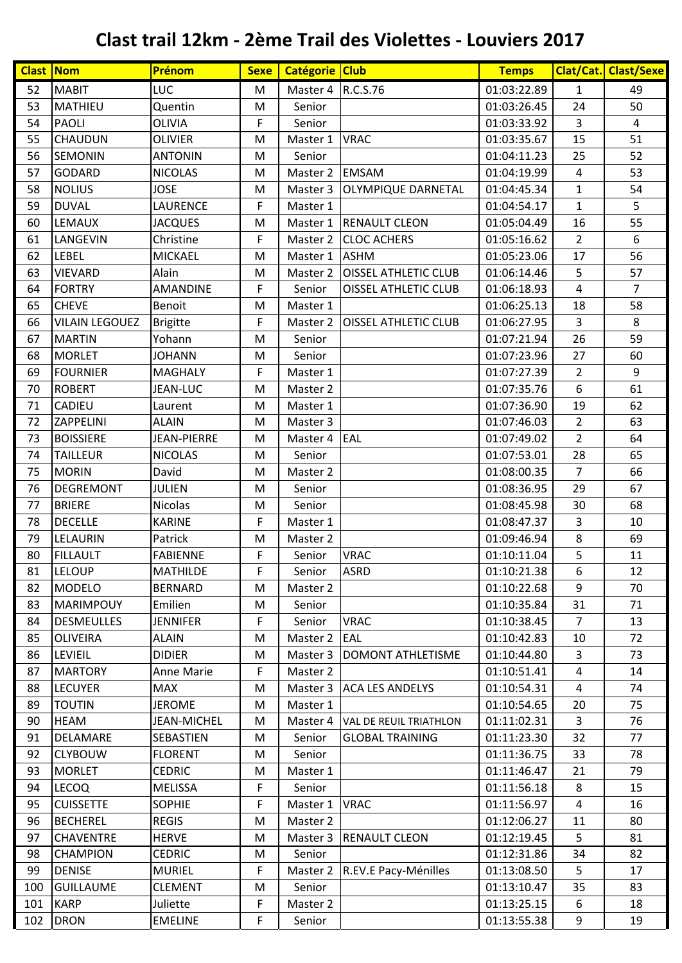| <b>Clast Nom</b> |                       | Prénom             | <b>Sexe</b> | Catégorie Club |                                   | <b>Temps</b> |                | Clat/Cat. Clast/Sexe |
|------------------|-----------------------|--------------------|-------------|----------------|-----------------------------------|--------------|----------------|----------------------|
| 52               | <b>MABIT</b>          | LUC                | M           | Master 4       | R.C.S.76                          | 01:03:22.89  | 1              | 49                   |
| 53               | <b>MATHIEU</b>        | Quentin            | M           | Senior         |                                   | 01:03:26.45  | 24             | 50                   |
| 54               | <b>PAOLI</b>          | OLIVIA             | F           | Senior         |                                   | 01:03:33.92  | 3              | $\overline{4}$       |
| 55               | <b>CHAUDUN</b>        | <b>OLIVIER</b>     | M           | Master 1       | <b>VRAC</b>                       | 01:03:35.67  | 15             | 51                   |
| 56               | <b>SEMONIN</b>        | <b>ANTONIN</b>     | M           | Senior         |                                   | 01:04:11.23  | 25             | 52                   |
| 57               | <b>GODARD</b>         | <b>NICOLAS</b>     | M           | Master 2       | <b>EMSAM</b>                      | 01:04:19.99  | 4              | 53                   |
| 58               | <b>NOLIUS</b>         | <b>JOSE</b>        | M           | Master 3       | <b>OLYMPIQUE DARNETAL</b>         | 01:04:45.34  | $\mathbf{1}$   | 54                   |
| 59               | <b>DUVAL</b>          | LAURENCE           | F           | Master 1       |                                   | 01:04:54.17  | $\mathbf{1}$   | 5                    |
| 60               | <b>LEMAUX</b>         | <b>JACQUES</b>     | M           | Master 1       | <b>RENAULT CLEON</b>              | 01:05:04.49  | 16             | 55                   |
| 61               | LANGEVIN              | Christine          | F           |                | Master 2   CLOC ACHERS            | 01:05:16.62  | $\overline{2}$ | 6                    |
| 62               | <b>LEBEL</b>          | <b>MICKAEL</b>     | M           | Master 1 ASHM  |                                   | 01:05:23.06  | 17             | 56                   |
| 63               | <b>VIEVARD</b>        | Alain              | M           | Master 2       | <b>OISSEL ATHLETIC CLUB</b>       | 01:06:14.46  | 5              | 57                   |
| 64               | <b>FORTRY</b>         | <b>AMANDINE</b>    | F           | Senior         | <b>OISSEL ATHLETIC CLUB</b>       | 01:06:18.93  | $\overline{4}$ | $\overline{7}$       |
| 65               | <b>CHEVE</b>          | <b>Benoit</b>      | M           | Master 1       |                                   | 01:06:25.13  | 18             | 58                   |
| 66               | <b>VILAIN LEGOUEZ</b> | <b>Brigitte</b>    | F           | Master 2       | <b>OISSEL ATHLETIC CLUB</b>       | 01:06:27.95  | $\overline{3}$ | 8                    |
| 67               | <b>MARTIN</b>         | Yohann             | M           | Senior         |                                   | 01:07:21.94  | 26             | 59                   |
| 68               | <b>MORLET</b>         | <b>JOHANN</b>      | M           | Senior         |                                   | 01:07:23.96  | 27             | 60                   |
| 69               | <b>FOURNIER</b>       | <b>MAGHALY</b>     | F           | Master 1       |                                   | 01:07:27.39  | $\overline{2}$ | 9                    |
| 70               | <b>ROBERT</b>         | <b>JEAN-LUC</b>    | M           | Master 2       |                                   | 01:07:35.76  | 6              | 61                   |
| 71               | CADIEU                | Laurent            | M           | Master 1       |                                   | 01:07:36.90  | 19             | 62                   |
| 72               | <b>ZAPPELINI</b>      | <b>ALAIN</b>       | M           | Master 3       |                                   | 01:07:46.03  | $\overline{2}$ | 63                   |
| 73               | <b>BOISSIERE</b>      | <b>JEAN-PIERRE</b> | M           | Master 4       | <b>EAL</b>                        | 01:07:49.02  | $\overline{2}$ | 64                   |
| 74               | <b>TAILLEUR</b>       | <b>NICOLAS</b>     | M           | Senior         |                                   | 01:07:53.01  | 28             | 65                   |
| 75               | <b>MORIN</b>          | David              | M           | Master 2       |                                   | 01:08:00.35  | $\overline{7}$ | 66                   |
| 76               | <b>DEGREMONT</b>      | <b>JULIEN</b>      | M           | Senior         |                                   | 01:08:36.95  | 29             | 67                   |
| 77               | <b>BRIERE</b>         | <b>Nicolas</b>     | M           | Senior         |                                   | 01:08:45.98  | 30             | 68                   |
| 78               | <b>DECELLE</b>        | <b>KARINE</b>      | F           | Master 1       |                                   | 01:08:47.37  | 3              | 10                   |
| 79               | LELAURIN              | Patrick            | M           | Master 2       |                                   | 01:09:46.94  | 8              | 69                   |
| 80               | <b>FILLAULT</b>       | <b>FABIENNE</b>    | F           | Senior         | <b>VRAC</b>                       | 01:10:11.04  | 5              | 11                   |
| 81               | <b>LELOUP</b>         | MATHILDE           | $\mathsf F$ | Senior         | <b>ASRD</b>                       | 01:10:21.38  | 6              | 12                   |
| 82               | <b>MODELO</b>         | <b>BERNARD</b>     | M           | Master 2       |                                   | 01:10:22.68  | 9              | 70                   |
| 83               | <b>MARIMPOUY</b>      | Emilien            | M           | Senior         |                                   | 01:10:35.84  | 31             | 71                   |
| 84               | <b>DESMEULLES</b>     | <b>JENNIFER</b>    | F           | Senior         | <b>VRAC</b>                       | 01:10:38.45  | $\overline{7}$ | 13                   |
| 85               | <b>OLIVEIRA</b>       | <b>ALAIN</b>       | M           | Master 2       | <b>EAL</b>                        | 01:10:42.83  | 10             | 72                   |
| 86               | LEVIEIL               | <b>DIDIER</b>      | M           | Master 3       | DOMONT ATHLETISME                 | 01:10:44.80  | 3              | 73                   |
| 87               | <b>MARTORY</b>        | Anne Marie         | F           | Master 2       |                                   | 01:10:51.41  | 4              | 14                   |
| 88               | <b>LECUYER</b>        | <b>MAX</b>         | M           |                | Master 3 ACA LES ANDELYS          | 01:10:54.31  | 4              | 74                   |
| 89               | <b>TOUTIN</b>         | <b>JEROME</b>      | M           | Master 1       |                                   | 01:10:54.65  | 20             | 75                   |
| 90               | <b>HEAM</b>           | <b>JEAN-MICHEL</b> | M           |                | Master 4   VAL DE REUIL TRIATHLON | 01:11:02.31  | 3              | 76                   |
| 91               | DELAMARE              | SEBASTIEN          | M           | Senior         | <b>GLOBAL TRAINING</b>            | 01:11:23.30  | 32             | 77                   |
| 92               | <b>CLYBOUW</b>        | <b>FLORENT</b>     | М           | Senior         |                                   | 01:11:36.75  | 33             | 78                   |
| 93               | <b>MORLET</b>         | <b>CEDRIC</b>      | M           | Master 1       |                                   | 01:11:46.47  | 21             | 79                   |
| 94               | <b>LECOQ</b>          | <b>MELISSA</b>     | F           | Senior         |                                   | 01:11:56.18  | 8              | 15                   |
| 95               | <b>CUISSETTE</b>      | <b>SOPHIE</b>      | F           | Master 1       | <b>VRAC</b>                       | 01:11:56.97  | 4              | 16                   |
| 96               | <b>BECHEREL</b>       | <b>REGIS</b>       | M           | Master 2       |                                   | 01:12:06.27  | 11             | 80                   |
| 97               | <b>CHAVENTRE</b>      | <b>HERVE</b>       | M           | Master 3       | <b>RENAULT CLEON</b>              | 01:12:19.45  | 5              | 81                   |
| 98               | <b>CHAMPION</b>       | <b>CEDRIC</b>      | M           | Senior         |                                   | 01:12:31.86  | 34             | 82                   |
| 99               | <b>DENISE</b>         | <b>MURIEL</b>      | F           |                | Master 2   R.EV.E Pacy-Ménilles   | 01:13:08.50  | 5              | 17                   |
| 100              | <b>GUILLAUME</b>      | <b>CLEMENT</b>     | M           | Senior         |                                   | 01:13:10.47  | 35             | 83                   |
| 101              | <b>KARP</b>           | Juliette           | F           | Master 2       |                                   | 01:13:25.15  | 6              | 18                   |
| 102              | <b>DRON</b>           | <b>EMELINE</b>     | F           | Senior         |                                   | 01:13:55.38  | 9              | 19                   |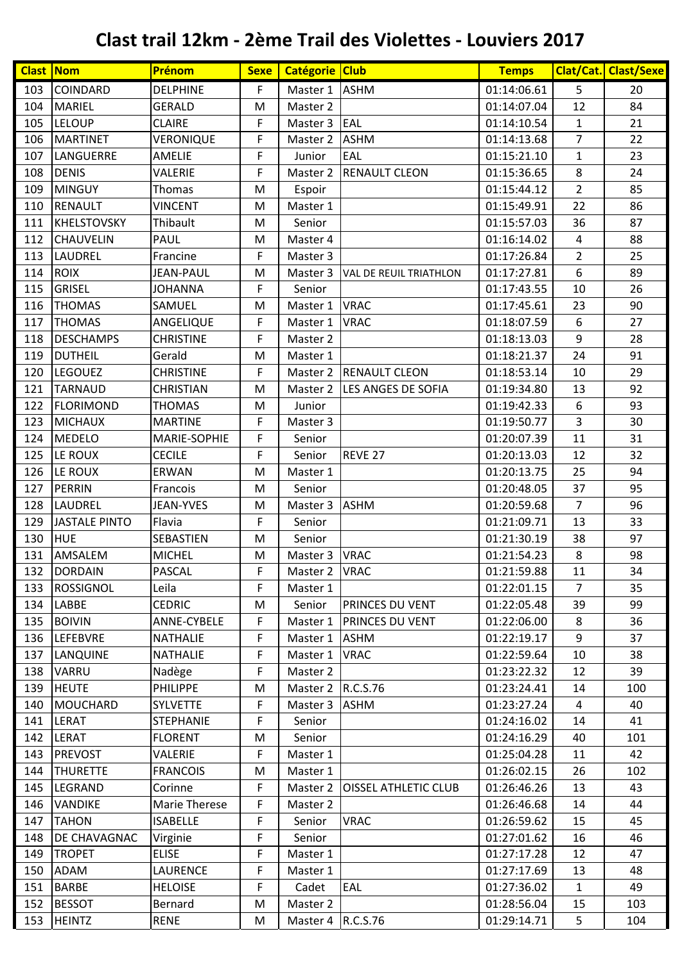| <b>Clast Nom</b> |                                 | Prénom                      | <b>Sexe</b> | Catégorie Club                       |                               | <b>Temps</b>               |                  | Clat/Cat. Clast/Sexe |
|------------------|---------------------------------|-----------------------------|-------------|--------------------------------------|-------------------------------|----------------------------|------------------|----------------------|
| 103              | COINDARD                        | <b>DELPHINE</b>             | F           | Master 1                             | <b>ASHM</b>                   | 01:14:06.61                | 5                | 20                   |
| 104              | <b>MARIEL</b>                   | <b>GERALD</b>               | M           | Master 2                             |                               | 01:14:07.04                | 12               | 84                   |
| 105              | <b>LELOUP</b>                   | <b>CLAIRE</b>               | F           | Master 3                             | EAL                           | 01:14:10.54                | $\mathbf{1}$     | 21                   |
| 106              | <b>MARTINET</b>                 | VERONIQUE                   | F           | Master 2                             | <b>ASHM</b>                   | 01:14:13.68                | $\overline{7}$   | 22                   |
| 107              | LANGUERRE                       | AMELIE                      | F           | Junior                               | EAL                           | 01:15:21.10                | $\mathbf{1}$     | 23                   |
| 108              | <b>DENIS</b>                    | VALERIE                     | F           | Master 2                             | <b>RENAULT CLEON</b>          | 01:15:36.65                | 8                | 24                   |
| 109              | <b>MINGUY</b>                   | Thomas                      | M           | Espoir                               |                               | 01:15:44.12                | $\overline{2}$   | 85                   |
| 110              | <b>RENAULT</b>                  | <b>VINCENT</b>              | M           | Master 1                             |                               | 01:15:49.91                | 22               | 86                   |
| 111              | <b>KHELSTOVSKY</b>              | Thibault                    | M           | Senior                               |                               | 01:15:57.03                | 36               | 87                   |
| 112              | CHAUVELIN                       | <b>PAUL</b>                 | M           | Master 4                             |                               | 01:16:14.02                | $\overline{4}$   | 88                   |
| 113              | LAUDREL                         | Francine                    | F           | Master 3                             |                               | 01:17:26.84                | $\overline{2}$   | 25                   |
| 114              | <b>ROIX</b>                     | <b>JEAN-PAUL</b>            | M           | Master 3                             | <b>VAL DE REUIL TRIATHLON</b> | 01:17:27.81                | 6                | 89                   |
| 115              | <b>GRISEL</b>                   | <b>JOHANNA</b>              | F           | Senior                               |                               | 01:17:43.55                | 10               | 26                   |
| 116              | <b>THOMAS</b>                   | SAMUEL                      | M           | Master 1                             | <b>VRAC</b>                   | 01:17:45.61                | 23               | 90                   |
| 117              | <b>THOMAS</b>                   | ANGELIQUE                   | F           | Master 1                             | <b>VRAC</b>                   | 01:18:07.59                | $\boldsymbol{6}$ | 27                   |
| 118              | <b>DESCHAMPS</b>                | <b>CHRISTINE</b>            | F           | Master 2                             |                               | 01:18:13.03                | 9                | 28                   |
| 119              | <b>DUTHEIL</b>                  | Gerald                      | M           | Master 1                             |                               | 01:18:21.37                | 24               | 91                   |
| 120              | <b>LEGOUEZ</b>                  | <b>CHRISTINE</b>            | F           |                                      | Master 2  RENAULT CLEON       | 01:18:53.14                | 10               | 29                   |
| 121              | <b>TARNAUD</b>                  | <b>CHRISTIAN</b>            | M           | Master 2                             | LES ANGES DE SOFIA            | 01:19:34.80                | 13               | 92                   |
| 122              | <b>FLORIMOND</b>                | <b>THOMAS</b>               | M           | Junior                               |                               | 01:19:42.33                | $\boldsymbol{6}$ | 93                   |
| 123              | <b>MICHAUX</b>                  | <b>MARTINE</b>              | F           | Master 3                             |                               | 01:19:50.77                | 3                | 30                   |
| 124              | <b>MEDELO</b>                   | MARIE-SOPHIE                | F           | Senior                               |                               | 01:20:07.39                | 11               | 31                   |
| 125              | LE ROUX                         | <b>CECILE</b>               | F           | Senior                               | REVE 27                       | 01:20:13.03                | 12               | 32                   |
| 126              | LE ROUX                         | ERWAN                       | M           | Master 1                             |                               | 01:20:13.75                | 25               | 94                   |
| 127              | PERRIN                          | Francois                    | M           | Senior                               |                               | 01:20:48.05                | 37               | 95                   |
| 128              | LAUDREL                         | <b>JEAN-YVES</b>            | M           | Master 3                             | <b>ASHM</b>                   | 01:20:59.68                | $\overline{7}$   | 96                   |
| 129              | <b>JASTALE PINTO</b>            | Flavia                      | F           | Senior                               |                               | 01:21:09.71                | 13               | 33                   |
| 130              | HUE                             | SEBASTIEN                   | M           | Senior                               |                               | 01:21:30.19                | 38               | 97                   |
| 131              | AMSALEM                         | <b>MICHEL</b>               | M           | Master 3                             | <b>VRAC</b>                   | 01:21:54.23                | 8                | 98                   |
|                  | 132 DORDAIN                     | PASCAL                      | F           | Master 2 VRAC                        |                               | 01:21:59.88                | 11               | 34                   |
| 133              | <b>ROSSIGNOL</b>                | Leila                       | F           | Master 1                             |                               | 01:22:01.15                | $\overline{7}$   | 35                   |
| 134              | LABBE                           | <b>CEDRIC</b>               | M           | Senior                               | <b>PRINCES DU VENT</b>        | 01:22:05.48                | 39               | 99                   |
| 135              | <b>BOIVIN</b>                   | ANNE-CYBELE                 | F           |                                      | Master 1   PRINCES DU VENT    | 01:22:06.00                | 8                | 36                   |
| 136              | <b>LEFEBVRE</b>                 | <b>NATHALIE</b>             | F           | Master 1 ASHM                        |                               | 01:22:19.17                | 9                | 37                   |
| 137              | LANQUINE                        | <b>NATHALIE</b>             | F           | Master 1                             | <b>VRAC</b>                   | 01:22:59.64                | 10               | 38                   |
| 138              | <b>VARRU</b>                    | Nadège                      | F           | Master 2                             |                               | 01:23:22.32                | 12               | 39                   |
| 139<br>140       | <b>HEUTE</b><br><b>MOUCHARD</b> | <b>PHILIPPE</b><br>SYLVETTE | M<br>F      | Master 2   R.C.S.76<br>Master 3 ASHM |                               | 01:23:24.41<br>01:23:27.24 | 14<br>4          | 100<br>40            |
| 141              | LERAT                           | <b>STEPHANIE</b>            | F           | Senior                               |                               | 01:24:16.02                | 14               | 41                   |
| 142              | LERAT                           | <b>FLORENT</b>              | M           | Senior                               |                               | 01:24:16.29                | 40               | 101                  |
| 143              | <b>PREVOST</b>                  | VALERIE                     | F           | Master 1                             |                               | 01:25:04.28                | 11               | 42                   |
| 144              | <b>THURETTE</b>                 | <b>FRANCOIS</b>             | M           | Master 1                             |                               | 01:26:02.15                | 26               | 102                  |
| 145              | LEGRAND                         | Corinne                     | F           | Master 2                             | <b>OISSEL ATHLETIC CLUB</b>   | 01:26:46.26                | 13               | 43                   |
| 146              | <b>VANDIKE</b>                  | Marie Therese               | F           | Master 2                             |                               | 01:26:46.68                | 14               | 44                   |
| 147              | <b>TAHON</b>                    | <b>ISABELLE</b>             | F           | Senior                               | <b>VRAC</b>                   | 01:26:59.62                | 15               | 45                   |
| 148              | DE CHAVAGNAC                    | Virginie                    | F           | Senior                               |                               | 01:27:01.62                | 16               | 46                   |
| 149              | <b>TROPET</b>                   | <b>ELISE</b>                | F           | Master 1                             |                               | 01:27:17.28                | 12               | 47                   |
| 150              | ADAM                            | <b>LAURENCE</b>             | F           | Master 1                             |                               | 01:27:17.69                | 13               | 48                   |
| 151              | <b>BARBE</b>                    | <b>HELOISE</b>              | F           | Cadet                                | EAL                           | 01:27:36.02                | $\mathbf{1}$     | 49                   |
| 152              | <b>BESSOT</b>                   | Bernard                     | M           | Master 2                             |                               | 01:28:56.04                | 15               | 103                  |
| 153              | <b>HEINTZ</b>                   | <b>RENE</b>                 | M           | Master $4$ R.C.S.76                  |                               | 01:29:14.71                | 5                | 104                  |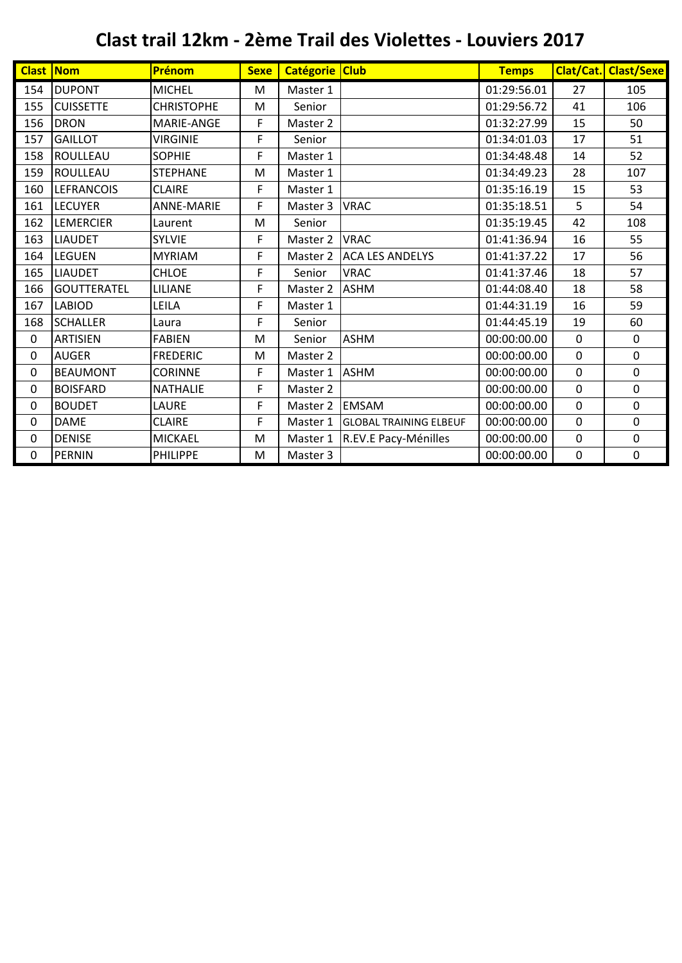| <b>Clast Nom</b> |                    | Prénom            | <b>Sexe</b> | Catégorie Club |                               | <b>Temps</b> |             | <b>Clat/Cat. Clast/Sexe</b> |
|------------------|--------------------|-------------------|-------------|----------------|-------------------------------|--------------|-------------|-----------------------------|
| 154              | <b>DUPONT</b>      | <b>MICHEL</b>     | M           | Master 1       |                               | 01:29:56.01  | 27          | 105                         |
| 155              | <b>CUISSETTE</b>   | <b>CHRISTOPHE</b> | M           | Senior         |                               | 01:29:56.72  | 41          | 106                         |
| 156              | <b>DRON</b>        | MARIE-ANGE        | F           | Master 2       |                               | 01:32:27.99  | 15          | 50                          |
| 157              | <b>GAILLOT</b>     | <b>VIRGINIE</b>   | F           | Senior         |                               | 01:34:01.03  | 17          | 51                          |
| 158              | <b>ROULLEAU</b>    | <b>SOPHIE</b>     | F           | Master 1       |                               | 01:34:48.48  | 14          | 52                          |
| 159              | <b>ROULLEAU</b>    | <b>STEPHANE</b>   | M           | Master 1       |                               | 01:34:49.23  | 28          | 107                         |
| 160              | <b>LEFRANCOIS</b>  | <b>CLAIRE</b>     | F           | Master 1       |                               | 01:35:16.19  | 15          | 53                          |
| 161              | <b>LECUYER</b>     | <b>ANNE-MARIE</b> | F           | Master 3       | <b>VRAC</b>                   | 01:35:18.51  | 5           | 54                          |
| 162              | LEMERCIER          | Laurent           | M           | Senior         |                               | 01:35:19.45  | 42          | 108                         |
| 163              | <b>LIAUDET</b>     | <b>SYLVIE</b>     | F           | Master 2       | <b>VRAC</b>                   | 01:41:36.94  | 16          | 55                          |
| 164              | LEGUEN             | <b>MYRIAM</b>     | F           | Master 2       | <b>ACA LES ANDELYS</b>        | 01:41:37.22  | 17          | 56                          |
| 165              | <b>LIAUDET</b>     | <b>CHLOE</b>      | F           | Senior         | <b>VRAC</b>                   | 01:41:37.46  | 18          | 57                          |
| 166              | <b>GOUTTERATEL</b> | LILIANE           | F           | Master 2       | <b>ASHM</b>                   | 01:44:08.40  | 18          | 58                          |
| 167              | <b>LABIOD</b>      | LEILA             | F           | Master 1       |                               | 01:44:31.19  | 16          | 59                          |
| 168              | <b>SCHALLER</b>    | Laura             | F           | Senior         |                               | 01:44:45.19  | 19          | 60                          |
| 0                | <b>ARTISIEN</b>    | <b>FABIEN</b>     | M           | Senior         | <b>ASHM</b>                   | 00:00:00.00  | $\mathbf 0$ | 0                           |
| 0                | <b>AUGER</b>       | <b>FREDERIC</b>   | M           | Master 2       |                               | 00:00:00.00  | $\mathbf 0$ | $\mathbf 0$                 |
| 0                | <b>BEAUMONT</b>    | <b>CORINNE</b>    | F           | Master 1       | <b>ASHM</b>                   | 00:00:00.00  | 0           | $\mathbf 0$                 |
| 0                | <b>BOISFARD</b>    | <b>NATHALIE</b>   | F           | Master 2       |                               | 00:00:00.00  | $\mathbf 0$ | $\mathbf 0$                 |
| 0                | <b>BOUDET</b>      | LAURE             | F           | Master 2       | <b>EMSAM</b>                  | 00:00:00.00  | $\mathbf 0$ | 0                           |
| 0                | <b>DAME</b>        | <b>CLAIRE</b>     | F           | Master 1       | <b>GLOBAL TRAINING ELBEUF</b> | 00:00:00.00  | $\mathbf 0$ | $\mathbf 0$                 |
| 0                | <b>DENISE</b>      | <b>MICKAEL</b>    | M           | Master 1       | R.EV.E Pacy-Ménilles          | 00:00:00.00  | 0           | $\mathbf 0$                 |
| 0                | <b>PERNIN</b>      | <b>PHILIPPE</b>   | M           | Master 3       |                               | 00:00:00.00  | 0           | 0                           |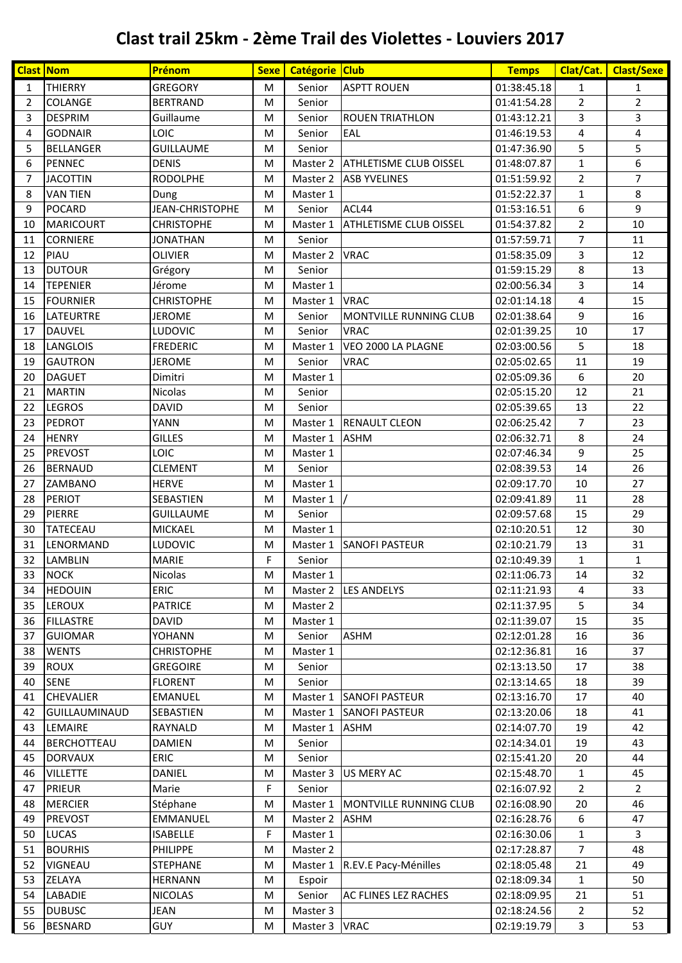|                | <b>Clast Nom</b>     | Prénom                 | Sexe | Catégorie Club |                               | <b>Temps</b> | Clat/Cat.      | <b>Clast/Sexe</b> |
|----------------|----------------------|------------------------|------|----------------|-------------------------------|--------------|----------------|-------------------|
| $\mathbf{1}$   | <b>THIERRY</b>       | <b>GREGORY</b>         | М    | Senior         | <b>ASPTT ROUEN</b>            | 01:38:45.18  | 1              | 1                 |
| $\overline{2}$ | <b>COLANGE</b>       | <b>BERTRAND</b>        | M    | Senior         |                               | 01:41:54.28  | $\overline{2}$ | $\overline{2}$    |
| 3              | <b>DESPRIM</b>       | Guillaume              | M    | Senior         | <b>ROUEN TRIATHLON</b>        | 01:43:12.21  | 3              | 3                 |
| 4              | <b>GODNAIR</b>       | LOIC                   | M    | Senior         | EAL                           | 01:46:19.53  | 4              | 4                 |
| 5              | <b>BELLANGER</b>     | <b>GUILLAUME</b>       | M    | Senior         |                               | 01:47:36.90  | 5              | 5                 |
| 6              | <b>PENNEC</b>        | <b>DENIS</b>           | м    | Master 2       | <b>ATHLETISME CLUB OISSEL</b> | 01:48:07.87  | 1              | 6                 |
| $\overline{7}$ | <b>JACOTTIN</b>      | <b>RODOLPHE</b>        | M    | Master 2       | <b>ASB YVELINES</b>           | 01:51:59.92  | $\overline{2}$ | $\overline{7}$    |
| 8              | <b>VAN TIEN</b>      | Dung                   | м    | Master 1       |                               | 01:52:22.37  | $\mathbf{1}$   | 8                 |
| 9              | <b>POCARD</b>        | <b>JEAN-CHRISTOPHE</b> | м    | Senior         | ACL44                         | 01:53:16.51  | 6              | 9                 |
| 10             | <b>MARICOURT</b>     | <b>CHRISTOPHE</b>      | М    | Master 1       | ATHLETISME CLUB OISSEL        | 01:54:37.82  | $\overline{2}$ | 10                |
| 11             | <b>CORNIERE</b>      | <b>JONATHAN</b>        | M    | Senior         |                               | 01:57:59.71  | $\overline{7}$ | 11                |
| 12             | PIAU                 | <b>OLIVIER</b>         | M    | Master 2       | <b>VRAC</b>                   | 01:58:35.09  | 3              | 12                |
| 13             | <b>DUTOUR</b>        | Grégory                | М    | Senior         |                               | 01:59:15.29  | 8              | 13                |
| 14             | <b>TEPENIER</b>      | Jérome                 | M    | Master 1       |                               | 02:00:56.34  | 3              | 14                |
| 15             | <b>FOURNIER</b>      | <b>CHRISTOPHE</b>      | М    | Master 1       | <b>VRAC</b>                   | 02:01:14.18  | 4              | 15                |
| 16             | <b>LATEURTRE</b>     | <b>JEROME</b>          | M    | Senior         | MONTVILLE RUNNING CLUB        | 02:01:38.64  | 9              | 16                |
| 17             | <b>DAUVEL</b>        | LUDOVIC                | М    | Senior         | <b>VRAC</b>                   | 02:01:39.25  | 10             | 17                |
| 18             | LANGLOIS             | <b>FREDERIC</b>        | М    | Master 1       | VEO 2000 LA PLAGNE            | 02:03:00.56  | 5              | 18                |
| 19             | <b>GAUTRON</b>       | <b>JEROME</b>          | М    | Senior         | <b>VRAC</b>                   | 02:05:02.65  | 11             | 19                |
| 20             | <b>DAGUET</b>        | Dimitri                | M    | Master 1       |                               | 02:05:09.36  | 6              | 20                |
| 21             | <b>MARTIN</b>        | Nicolas                | M    | Senior         |                               | 02:05:15.20  | 12             | 21                |
| 22             | <b>LEGROS</b>        | <b>DAVID</b>           | M    | Senior         |                               | 02:05:39.65  | 13             | 22                |
| 23             | <b>PEDROT</b>        | YANN                   | М    | Master 1       | <b>RENAULT CLEON</b>          | 02:06:25.42  | $\overline{7}$ | 23                |
| 24             | <b>HENRY</b>         | <b>GILLES</b>          | М    | Master 1       | <b>ASHM</b>                   | 02:06:32.71  | 8              | 24                |
| 25             | <b>PREVOST</b>       | <b>LOIC</b>            | M    | Master 1       |                               | 02:07:46.34  | 9              | 25                |
| 26             | <b>BERNAUD</b>       | <b>CLEMENT</b>         | М    | Senior         |                               | 02:08:39.53  | 14             | 26                |
| 27             | ZAMBANO              | <b>HERVE</b>           | М    | Master 1       |                               | 02:09:17.70  | 10             | 27                |
| 28             | <b>PERIOT</b>        | SEBASTIEN              | M    | Master 1       |                               | 02:09:41.89  | 11             | 28                |
| 29             | PIERRE               | <b>GUILLAUME</b>       | M    | Senior         |                               | 02:09:57.68  | 15             | 29                |
| 30             | TATECEAU             | <b>MICKAEL</b>         | M    | Master 1       |                               | 02:10:20.51  | 12             | 30                |
| 31             | LENORMAND            | LUDOVIC                | M    | Master 1       | <b>SANOFI PASTEUR</b>         | 02:10:21.79  | 13             | 31                |
| 32             | LAMBLIN              | <b>MARIE</b>           | F    | Senior         |                               | 02:10:49.39  | $\mathbf{1}$   | $\mathbf{1}$      |
| 33             | <b>NOCK</b>          | Nicolas                | M    | Master 1       |                               | 02:11:06.73  | 14             | 32                |
| 34             | <b>HEDOUIN</b>       | <b>ERIC</b>            | M    | Master 2       | <b>LES ANDELYS</b>            | 02:11:21.93  | 4              | 33                |
| 35             | <b>LEROUX</b>        | <b>PATRICE</b>         | M    | Master 2       |                               | 02:11:37.95  | 5              | 34                |
| 36             | <b>FILLASTRE</b>     | DAVID                  | M    | Master 1       |                               | 02:11:39.07  | 15             | 35                |
| 37             | <b>GUIOMAR</b>       | YOHANN                 | M    | Senior         | <b>ASHM</b>                   | 02:12:01.28  | 16             | 36                |
| 38             | <b>WENTS</b>         | <b>CHRISTOPHE</b>      | M    | Master 1       |                               | 02:12:36.81  | 16             | 37                |
| 39             | <b>ROUX</b>          | <b>GREGOIRE</b>        | M    | Senior         |                               | 02:13:13.50  | 17             | 38                |
| 40             | <b>SENE</b>          | <b>FLORENT</b>         | M    | Senior         |                               | 02:13:14.65  | 18             | 39                |
| 41             | <b>CHEVALIER</b>     | <b>EMANUEL</b>         | M    | Master 1       | <b>SANOFI PASTEUR</b>         | 02:13:16.70  | 17             | 40                |
| 42             | <b>GUILLAUMINAUD</b> | SEBASTIEN              | M    | Master 1       | <b>SANOFI PASTEUR</b>         | 02:13:20.06  | 18             | 41                |
| 43             | LEMAIRE              | RAYNALD                | M    | Master 1       | <b>ASHM</b>                   | 02:14:07.70  | 19             | 42                |
| 44             | <b>BERCHOTTEAU</b>   | DAMIEN                 | M    | Senior         |                               | 02:14:34.01  | 19             | 43                |
| 45             | <b>DORVAUX</b>       | <b>ERIC</b>            | M    | Senior         |                               | 02:15:41.20  | 20             | 44                |
| 46             | <b>VILLETTE</b>      | DANIEL                 | M    | Master 3       | US MERY AC                    | 02:15:48.70  | $\mathbf{1}$   | 45                |
| 47             | <b>PRIEUR</b>        | Marie                  | F    | Senior         |                               | 02:16:07.92  | $\overline{2}$ | $\overline{2}$    |
| 48             | <b>MERCIER</b>       | Stéphane               | M    | Master 1       | MONTVILLE RUNNING CLUB        | 02:16:08.90  | 20             | 46                |
| 49             | <b>PREVOST</b>       | EMMANUEL               | M    | Master 2       | <b>ASHM</b>                   | 02:16:28.76  | 6              | 47                |
| 50             | <b>LUCAS</b>         | <b>ISABELLE</b>        | F    | Master 1       |                               | 02:16:30.06  | $\mathbf{1}$   | 3                 |
| 51             | <b>BOURHIS</b>       | <b>PHILIPPE</b>        | M    | Master 2       |                               | 02:17:28.87  | $\overline{7}$ | 48                |
| 52             | VIGNEAU              | <b>STEPHANE</b>        | M    | Master 1       | R.EV.E Pacy-Ménilles          | 02:18:05.48  | 21             | 49                |
| 53<br>54       | ZELAYA               | <b>HERNANN</b>         | M    | Espoir         |                               | 02:18:09.34  | $\mathbf{1}$   | 50                |
|                | LABADIE              | <b>NICOLAS</b>         | M    | Senior         | AC FLINES LEZ RACHES          | 02:18:09.95  | 21             | 51                |
| 55             | <b>DUBUSC</b>        | JEAN                   | M    | Master 3       |                               | 02:18:24.56  | $\overline{2}$ | 52                |
| 56             | <b>BESNARD</b>       | <b>GUY</b>             | M    | Master 3 VRAC  |                               | 02:19:19.79  | 3              | 53                |